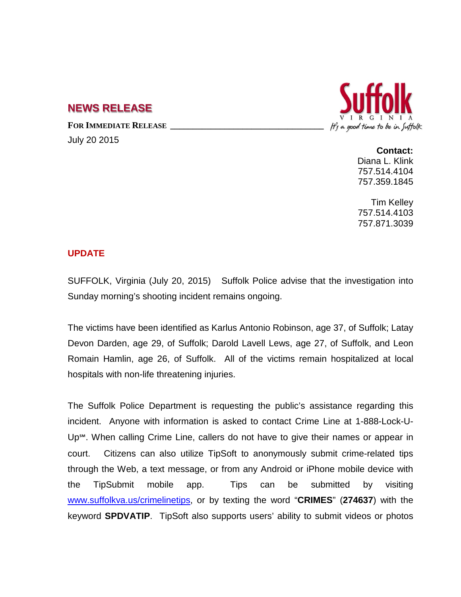## **NEWS RELEASE**

**FOR IMMEDIATE RELEASE \_\_\_\_\_\_\_\_\_\_\_\_\_\_\_\_\_\_\_\_\_\_\_\_\_\_\_\_\_\_\_\_\_\_**

July 20 2015



**Contact:** Diana L. Klink 757.514.4104 757.359.1845

Tim Kelley 757.514.4103 757.871.3039

## **UPDATE**

SUFFOLK, Virginia (July 20, 2015) Suffolk Police advise that the investigation into Sunday morning's shooting incident remains ongoing.

The victims have been identified as Karlus Antonio Robinson, age 37, of Suffolk; Latay Devon Darden, age 29, of Suffolk; Darold Lavell Lews, age 27, of Suffolk, and Leon Romain Hamlin, age 26, of Suffolk. All of the victims remain hospitalized at local hospitals with non-life threatening injuries.

The Suffolk Police Department is requesting the public's assistance regarding this incident. Anyone with information is asked to contact Crime Line at 1-888-Lock-U-Up<sup>™</sup>. When calling Crime Line, callers do not have to give their names or appear in court. Citizens can also utilize TipSoft to anonymously submit crime-related tips through the Web, a text message, or from any Android or iPhone mobile device with the [TipSubmit mobile app.](http://www.tipsoft.com/index.asp?P=TipSubmitMobile) Tips can be submitted by visiting [www.suffolkva.us/crimelinetips,](http://www.suffolkva.us/crimelinetips) or by texting the word "**CRIMES**" (**274637**) with the keyword **SPDVATIP**. TipSoft also supports users' ability to submit videos or photos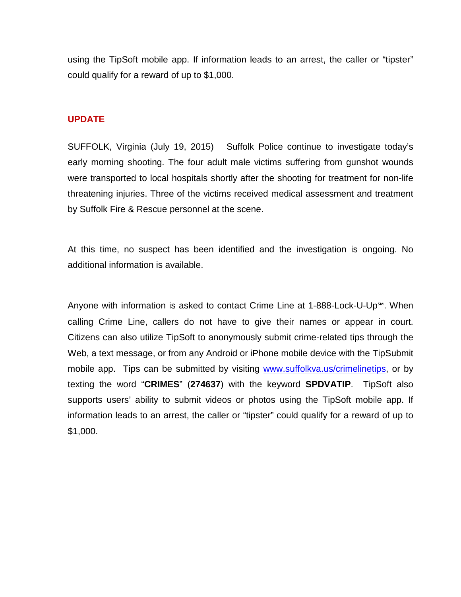using the TipSoft mobile app. If information leads to an arrest, the caller or "tipster" could qualify for a reward of up to \$1,000.

## **UPDATE**

SUFFOLK, Virginia (July 19, 2015) Suffolk Police continue to investigate today's early morning shooting. The four adult male victims suffering from gunshot wounds were transported to local hospitals shortly after the shooting for treatment for non-life threatening injuries. Three of the victims received medical assessment and treatment by Suffolk Fire & Rescue personnel at the scene.

At this time, no suspect has been identified and the investigation is ongoing. No additional information is available.

Anyone with information is asked to contact Crime Line at 1-888-Lock-U-Up℠. When calling Crime Line, callers do not have to give their names or appear in court. Citizens can also utilize TipSoft to anonymously submit crime-related tips through the Web, a text message, or from any Android or iPhone mobile device with the [TipSubmit](http://www.tipsoft.com/index.asp?P=TipSubmitMobile)  [mobile app.](http://www.tipsoft.com/index.asp?P=TipSubmitMobile) Tips can be submitted by visiting [www.suffolkva.us/crimelinetips,](http://www.suffolkva.us/crimelinetips) or by texting the word "**CRIMES**" (**274637**) with the keyword **SPDVATIP**. TipSoft also supports users' ability to submit videos or photos using the TipSoft mobile app. If information leads to an arrest, the caller or "tipster" could qualify for a reward of up to \$1,000.